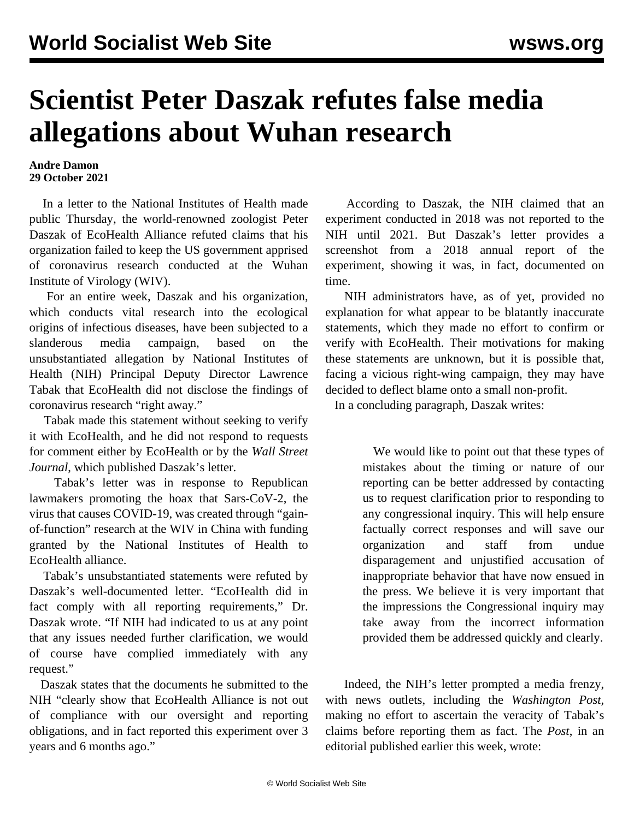## **Scientist Peter Daszak refutes false media allegations about Wuhan research**

## **Andre Damon 29 October 2021**

 In a letter to the National Institutes of Health made public Thursday, the world-renowned zoologist Peter Daszak of EcoHealth Alliance refuted claims that his organization failed to keep the US government apprised of coronavirus research conducted at the Wuhan Institute of Virology (WIV).

 For an entire week, Daszak and his organization, which conducts vital research into the ecological origins of infectious diseases, have been subjected to a slanderous media campaign, based on the unsubstantiated allegation by National Institutes of Health (NIH) Principal Deputy Director Lawrence Tabak that EcoHealth did not disclose the findings of coronavirus research "right away."

 Tabak made this statement without seeking to verify it with EcoHealth, and he did not respond to requests for comment either by EcoHealth or by the *[Wall Street](https://www.wsj.com/articles/coronavirus-study-of-bats-in-china-met-nih-grant-requirements-ecohealth-says-11635441406) [Journal](https://www.wsj.com/articles/coronavirus-study-of-bats-in-china-met-nih-grant-requirements-ecohealth-says-11635441406)*, which published Daszak's [letter](https://s.wsj.net/public/resources/documents/EcoHealth%20letter%20(1).pdf).

 Tabak's letter was in response to Republican lawmakers promoting the hoax that Sars-CoV-2, the virus that causes COVID-19, was created through "gainof-function" research at the WIV in China with funding granted by the National Institutes of Health to EcoHealth alliance.

 Tabak's unsubstantiated statements were refuted by Daszak's well-documented letter. "EcoHealth did in fact comply with all reporting requirements," Dr. Daszak wrote. "If NIH had indicated to us at any point that any issues needed further clarification, we would of course have complied immediately with any request."

 Daszak states that the documents he submitted to the NIH "clearly show that EcoHealth Alliance is not out of compliance with our oversight and reporting obligations, and in fact reported this experiment over 3 years and 6 months ago."

 According to Daszak, the NIH claimed that an experiment conducted in 2018 was not reported to the NIH until 2021. But Daszak's letter provides a screenshot from a 2018 annual report of the experiment, showing it was, in fact, documented on time.

 NIH administrators have, as of yet, provided no explanation for what appear to be blatantly inaccurate statements, which they made no effort to confirm or verify with EcoHealth. Their motivations for making these statements are unknown, but it is possible that, facing a vicious right-wing campaign, they may have decided to deflect blame onto a small non-profit.

In a concluding paragraph, Daszak writes:

 We would like to point out that these types of mistakes about the timing or nature of our reporting can be better addressed by contacting us to request clarification prior to responding to any congressional inquiry. This will help ensure factually correct responses and will save our organization and staff from undue disparagement and unjustified accusation of inappropriate behavior that have now ensued in the press. We believe it is very important that the impressions the Congressional inquiry may take away from the incorrect information provided them be addressed quickly and clearly.

 Indeed, the NIH's letter prompted a media frenzy, with news outlets, including the *Washington Post,* making no effort to ascertain the veracity of Tabak's claims before reporting them as fact. The *Post*, in an editorial published earlier this week, wrote: